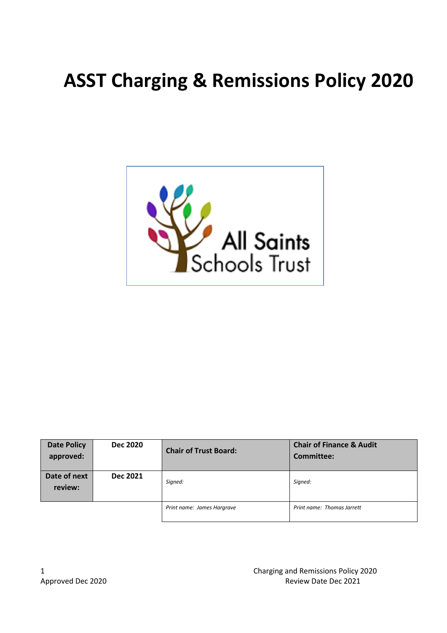# **ASST Charging & Remissions Policy 2020**



| <b>Date Policy</b><br>approved: | <b>Dec 2020</b> | <b>Chair of Trust Board:</b> | <b>Chair of Finance &amp; Audit</b><br>Committee: |
|---------------------------------|-----------------|------------------------------|---------------------------------------------------|
| Date of next<br>review:         | <b>Dec 2021</b> | Signed:                      | Signed:                                           |
|                                 |                 | Print name: James Hargrave   | Print name: Thomas Jarrett                        |

1 Charging and Remissions Policy 2020 Approved Dec 2020 Approved Dec 2021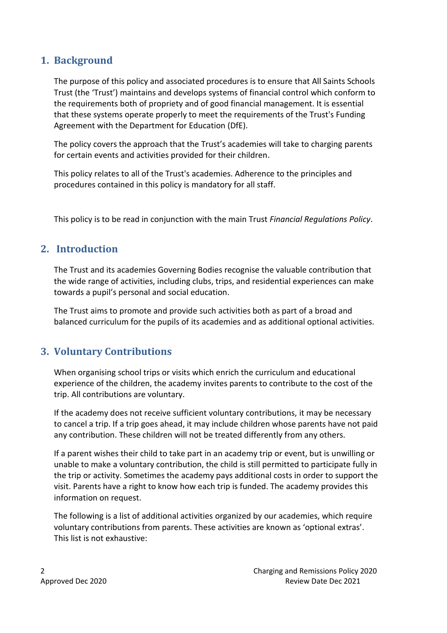# **1. Background**

The purpose of this policy and associated procedures is to ensure that All Saints Schools Trust (the 'Trust') maintains and develops systems of financial control which conform to the requirements both of propriety and of good financial management. It is essential that these systems operate properly to meet the requirements of the Trust's Funding Agreement with the Department for Education (DfE).

The policy covers the approach that the Trust's academies will take to charging parents for certain events and activities provided for their children.

This policy relates to all of the Trust's academies. Adherence to the principles and procedures contained in this policy is mandatory for all staff.

This policy is to be read in conjunction with the main Trust *Financial Regulations Policy*.

#### **2. Introduction**

The Trust and its academies Governing Bodies recognise the valuable contribution that the wide range of activities, including clubs, trips, and residential experiences can make towards a pupil's personal and social education.

The Trust aims to promote and provide such activities both as part of a broad and balanced curriculum for the pupils of its academies and as additional optional activities.

#### **3. Voluntary Contributions**

When organising school trips or visits which enrich the curriculum and educational experience of the children, the academy invites parents to contribute to the cost of the trip. All contributions are voluntary.

If the academy does not receive sufficient voluntary contributions, it may be necessary to cancel a trip. If a trip goes ahead, it may include children whose parents have not paid any contribution. These children will not be treated differently from any others.

If a parent wishes their child to take part in an academy trip or event, but is unwilling or unable to make a voluntary contribution, the child is still permitted to participate fully in the trip or activity. Sometimes the academy pays additional costs in order to support the visit. Parents have a right to know how each trip is funded. The academy provides this information on request.

The following is a list of additional activities organized by our academies, which require voluntary contributions from parents. These activities are known as 'optional extras'. This list is not exhaustive: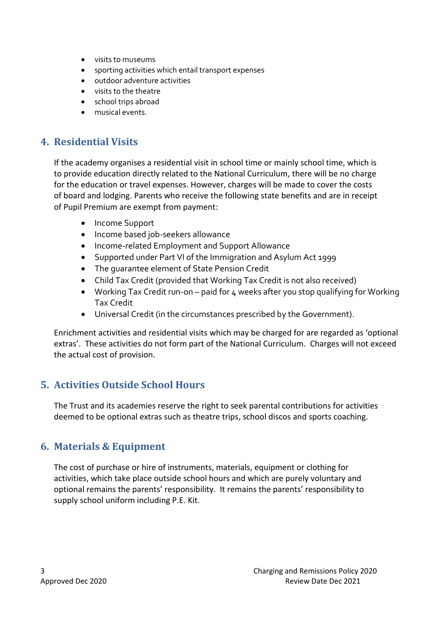- visits to museums
- sporting activities which entail transport expenses
- outdoor adventure activities
- visits to the theatre
- school trips abroad
- musical events.

### **4. Residential Visits**

If the academy organises a residential visit in school time or mainly school time, which is to provide education directly related to the National Curriculum, there will be no charge for the education or travel expenses. However, charges will be made to cover the costs of board and lodging. Parents who receive the following state benefits and are in receipt of Pupil Premium are exempt from payment:

- Income Support
- Income based job-seekers allowance
- Income-related Employment and Support Allowance
- Supported under Part VI of the Immigration and Asylum Act 1999
- The guarantee element of State Pension Credit
- Child Tax Credit (provided that Working Tax Credit is not also received)
- Working Tax Credit run-on paid for 4 weeks after you stop qualifying for Working Tax Credit
- Universal Credit (in the circumstances prescribed by the Government).

Enrichment activities and residential visits which may be charged for are regarded as 'optional extras'. These activities do not form part of the National Curriculum. Charges will not exceed the actual cost of provision.

# **5. Activities Outside School Hours**

The Trust and its academies reserve the right to seek parental contributions for activities deemed to be optional extras such as theatre trips, school discos and sports coaching.

# **6. Materials & Equipment**

The cost of purchase or hire of instruments, materials, equipment or clothing for activities, which take place outside school hours and which are purely voluntary and optional remains the parents' responsibility. It remains the parents' responsibility to supply school uniform including P.E. Kit.